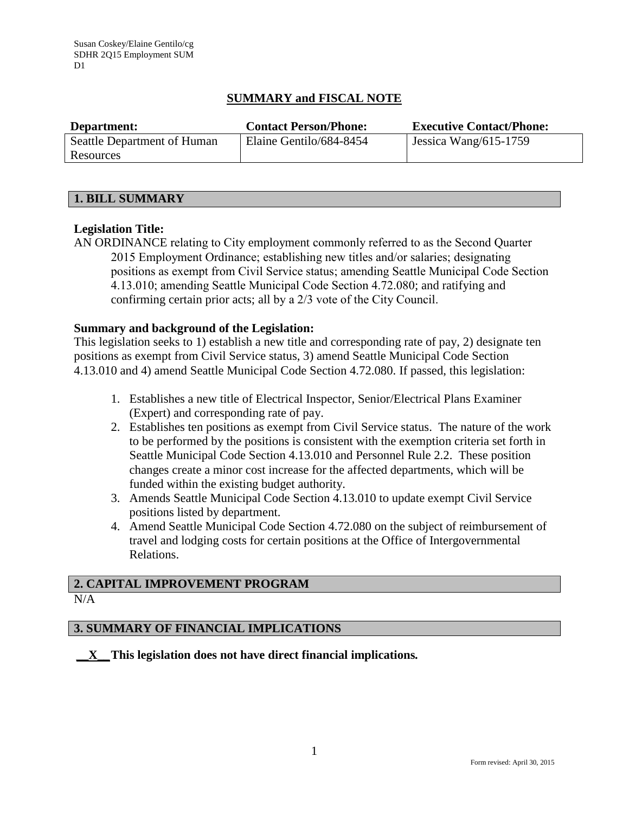## **SUMMARY and FISCAL NOTE**

| Department:                 | <b>Contact Person/Phone:</b> | <b>Executive Contact/Phone:</b> |
|-----------------------------|------------------------------|---------------------------------|
| Seattle Department of Human | Elaine Gentilo/684-8454      | Jessica Wang/615-1759           |
| Resources                   |                              |                                 |

## **1. BILL SUMMARY**

## **Legislation Title:**

AN ORDINANCE relating to City employment commonly referred to as the Second Quarter 2015 Employment Ordinance; establishing new titles and/or salaries; designating positions as exempt from Civil Service status; amending Seattle Municipal Code Section 4.13.010; amending Seattle Municipal Code Section 4.72.080; and ratifying and confirming certain prior acts; all by a 2/3 vote of the City Council.

## **Summary and background of the Legislation:**

This legislation seeks to 1) establish a new title and corresponding rate of pay, 2) designate ten positions as exempt from Civil Service status, 3) amend Seattle Municipal Code Section 4.13.010 and 4) amend Seattle Municipal Code Section 4.72.080. If passed, this legislation:

- 1. Establishes a new title of Electrical Inspector, Senior/Electrical Plans Examiner (Expert) and corresponding rate of pay.
- 2. Establishes ten positions as exempt from Civil Service status. The nature of the work to be performed by the positions is consistent with the exemption criteria set forth in Seattle Municipal Code Section 4.13.010 and Personnel Rule 2.2. These position changes create a minor cost increase for the affected departments, which will be funded within the existing budget authority.
- 3. Amends Seattle Municipal Code Section 4.13.010 to update exempt Civil Service positions listed by department.
- 4. Amend Seattle Municipal Code Section 4.72.080 on the subject of reimbursement of travel and lodging costs for certain positions at the Office of Intergovernmental Relations.

# **2. CAPITAL IMPROVEMENT PROGRAM**

N/A

## **3. SUMMARY OF FINANCIAL IMPLICATIONS**

**\_\_X\_\_This legislation does not have direct financial implications***.*